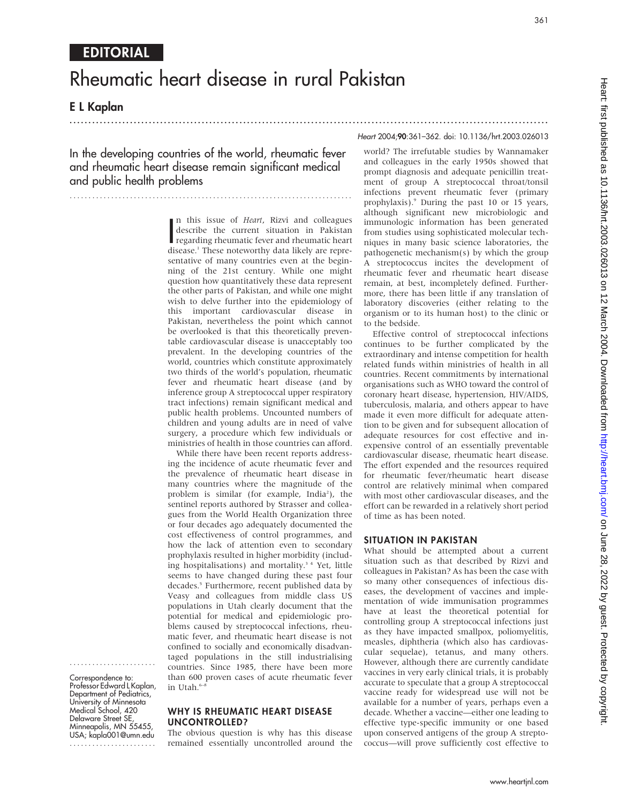# Rheumatic heart disease in rural Pakistan

.............................................................................................................................. .

E L Kaplan

In the developing countries of the world, rheumatic fever and rheumatic heart disease remain significant medical and public health problems

...........................................................................

In this issue of *Heart*, Kizvi and colleagues<br>describe the current situation in Pakistan<br>regarding rheumatic fever and rheumatic heart<br>disease <sup>1</sup> These noteworthy data likely are repren this issue of Heart, Rizvi and colleagues regarding rheumatic fever and rheumatic heart disease.<sup>1</sup> These noteworthy data likely are representative of many countries even at the beginning of the 21st century. While one might question how quantitatively these data represent the other parts of Pakistan, and while one might wish to delve further into the epidemiology of this important cardiovascular disease in Pakistan, nevertheless the point which cannot be overlooked is that this theoretically preventable cardiovascular disease is unacceptably too prevalent. In the developing countries of the world, countries which constitute approximately two thirds of the world's population, rheumatic fever and rheumatic heart disease (and by inference group A streptococcal upper respiratory tract infections) remain significant medical and public health problems. Uncounted numbers of children and young adults are in need of valve surgery, a procedure which few individuals or ministries of health in those countries can afford.

While there have been recent reports addressing the incidence of acute rheumatic fever and the prevalence of rheumatic heart disease in many countries where the magnitude of the problem is similar (for example, India<sup>2</sup>), the sentinel reports authored by Strasser and colleagues from the World Health Organization three or four decades ago adequately documented the cost effectiveness of control programmes, and how the lack of attention even to secondary prophylaxis resulted in higher morbidity (including hospitalisations) and mortality.<sup>34</sup> Yet, little seems to have changed during these past four decades.<sup>5</sup> Furthermore, recent published data by Veasy and colleagues from middle class US populations in Utah clearly document that the potential for medical and epidemiologic problems caused by streptococcal infections, rheumatic fever, and rheumatic heart disease is not confined to socially and economically disadvantaged populations in the still industrialising countries. Since 1985, there have been more than 600 proven cases of acute rheumatic fever in Utah.<sup>6-8</sup>

Correspondence to: Professor Edward L Kaplan, Department of Pediatrics, University of Minnesota Medical School, 420 Delaware Street SE, Minneapolis, MN 55455, USA; kapla001@umn.edu .......................

.......................

### WHY IS RHEUMATIC HEART DISEASE UNCONTROLLED?

The obvious question is why has this disease remained essentially uncontrolled around the

#### Heart 2004;90:361–362. doi: 10.1136/hrt.2003.026013

361

world? The irrefutable studies by Wannamaker and colleagues in the early 1950s showed that prompt diagnosis and adequate penicillin treatment of group A streptococcal throat/tonsil infections prevent rheumatic fever (primary prophylaxis).9 During the past 10 or 15 years, although significant new microbiologic and immunologic information has been generated from studies using sophisticated molecular techniques in many basic science laboratories, the pathogenetic mechanism(s) by which the group A streptococcus incites the development of rheumatic fever and rheumatic heart disease remain, at best, incompletely defined. Furthermore, there has been little if any translation of laboratory discoveries (either relating to the organism or to its human host) to the clinic or to the bedside.

Effective control of streptococcal infections continues to be further complicated by the extraordinary and intense competition for health related funds within ministries of health in all countries. Recent commitments by international organisations such as WHO toward the control of coronary heart disease, hypertension, HIV/AIDS, tuberculosis, malaria, and others appear to have made it even more difficult for adequate attention to be given and for subsequent allocation of adequate resources for cost effective and inexpensive control of an essentially preventable cardiovascular disease, rheumatic heart disease. The effort expended and the resources required for rheumatic fever/rheumatic heart disease control are relatively minimal when compared with most other cardiovascular diseases, and the effort can be rewarded in a relatively short period of time as has been noted.

### SITUATION IN PAKISTAN

What should be attempted about a current situation such as that described by Rizvi and colleagues in Pakistan? As has been the case with so many other consequences of infectious diseases, the development of vaccines and implementation of wide immunisation programmes have at least the theoretical potential for controlling group A streptococcal infections just as they have impacted smallpox, poliomyelitis, measles, diphtheria (which also has cardiovascular sequelae), tetanus, and many others. However, although there are currently candidate vaccines in very early clinical trials, it is probably accurate to speculate that a group A streptococcal vaccine ready for widespread use will not be available for a number of years, perhaps even a decade. Whether a vaccine—either one leading to effective type-specific immunity or one based upon conserved antigens of the group A streptococcus—will prove sufficiently cost effective to